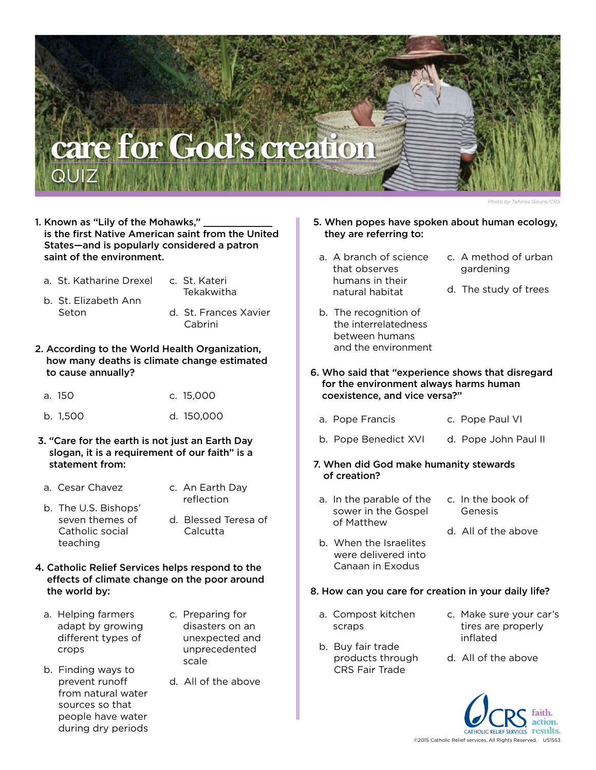# **care for God's creation**

- 1. Known as "Lily of the Mohawks," is the first Native American saint from the United States—and is popularly considered a patron saint of the environment.
	- a. St. Katharine Drexel c. St. Kateri
		- Tekakwitha
	- b. St. Elizabeth Ann Seton

**QUIZ** 

- d. St. Frances Xavier Cabrini
- 2. According to the World Health Organization, how many deaths is climate change estimated to cause annually?
	- a. 150 c. 15,000
	- b. 1,500 d. 150,000
- 3. "Care for the earth is not just an Earth Day slogan, it is a requirement of our faith" is a statement from:
- a. Cesar Chavez
- c. An Earth Day reflection
- b. The U.S. Bishops' seven themes of Catholic social teaching
- d. Blessed Teresa of Calcutta
- 4. Catholic Relief Services helps respond to the effects of climate change on the poor around the world by:
	- a. Helping farmers adapt by growing different types of crops
- c. Preparing for disasters on an unexpected and unprecedented scale
- b. Finding ways to prevent runoff from natural water sources so that people have water during dry periods
- d. All of the above
- 5. When popes have spoken about human ecology, they are referring to:
- a. A branch of science that observes humans in their natural habitat
- b. The recognition of the interrelatedness between humans and the environment
- c. A method of urban gardening
- d. The study of trees
- 6. Who said that "experience shows that disregard for the environment always harms human coexistence, and vice versa?"
	- a. Pope Francis c. Pope Paul VI
	- b. Pope Benedict XVI d. Pope John Paul II
- 7. When did God make humanity stewards of creation?
	- a. In the parable of the sower in the Gospel of Matthew
- c. In the book of Genesis

d. All of the above

b. When the Israelites were delivered into Canaan in Exodus

# 8. How can you care for creation in your daily life?

- a. Compost kitchen scraps
- b. Buy fair trade products through CRS Fair Trade
- c. Make sure your car's tires are properly inflated
- d. All of the above

results. ©2015 Catholic Relief services. All Rights Reserved. US1553

*Photo by Tahirou Gouro/CRS*